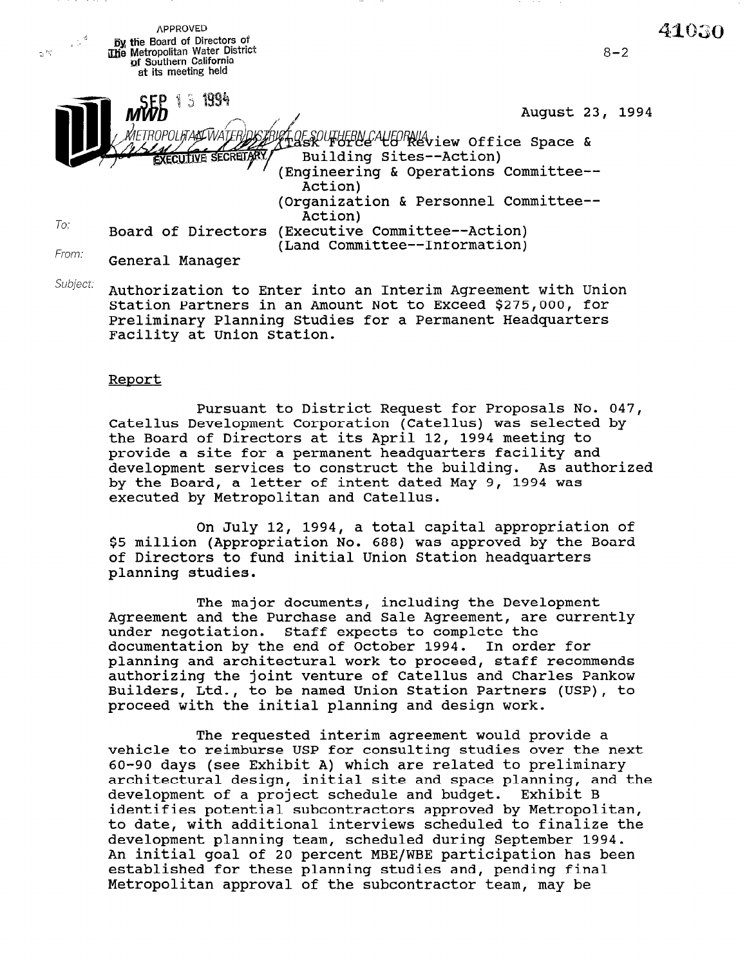APPROVED 41030  $\mathbf{y}$  the Board of Directors of **2 % The Metropolitan Water District**  $8 - 2$ of Southern California at its meeting held  $3.1994$ August 23, 1994 ΜΕΤΒΟΡΟΙ ΙΓΑΔΕΪΝΑΤ. OFSOUTHERN CALLORNIA<br>Ask UTHERN CALLORNIA **EXECUTIVE SECRETARY** uilding Sites--Action) (Engineering & Operations Committee--Action) (Organization & Personnel Committee--  $^{T_{O}}$ : Board of Directors (Executive Committee--Action) (Land Committee--Information) From: General Manager

Subject: Authorization to Enter into an Interim Agreement with Union Station Partners in an Amount Not to Exceed \$275,000, for Preliminary Planning Studies for a Permanent Headquarters Facility at Union Station.

#### Report

Pursuant to District Request for Proposals No. 047, Catellus Development Corporation (Catellus) was selected by the Board of Directors at its April 12, 1994 meeting to provide a site for a permanent headquarters facility and development services to construct the building. As authorized by the Board, a letter of intent dated May 9, 1994 was executed by Metropolitan and Catellus.

On July 12, 1994, a total capital appropriation of \$5 million (Appropriation No. 688) was approved by the Board of Directors to fund initial Union Station headquarters planning studies.

The major documents, including the Development Agreement and the Purchase and Sale Agreement, are currently under negotiation. Staff expects to complete the documentation by the end of October 1994. In order for planning and architectural work to proceed, staff recommends authorizing the joint venture of Catellus and Charles Pankow Builders, Ltd., to be named Union Station Partners (USP), to proceed with the initial planning and design work.

The requested interim agreement would provide a vehicle to reimburse USP for consulting studies over the next 60-90-days (see Eshibit A) which are related to preliming ou-90 days (see Exhibit A) which are related to preliminary<br>contitactural design, initial site and space planning, and the architectural design, initial site and space planning, and the development of a project schedule and budget. Exhibit B identifies potential subcontractors approved by Metropolitan, to date, with additional interviews scheduled to finalize the development planning team, scheduled during September 1994. An initial goal of 20 percent MBE/WBE participation has been established for these planning studies and, pending final<br>Metropolitan approval of the subcontractor team, may be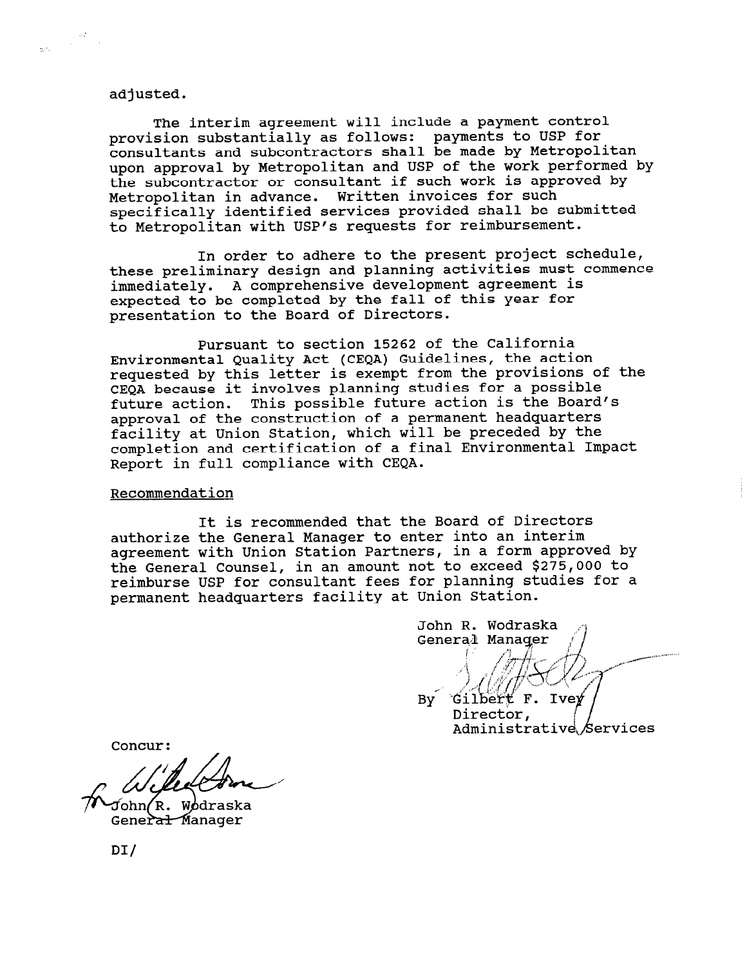#### adjusted.

 $\frac{\partial \mathcal{Q}}{\partial \mathcal{Q}} = \frac{1}{2} \mathcal{Q}$  with

The interim agreement will include a payment control provision substantially as follows: payments to USP for consultants and subcontractors shall be made by Metropolitan upon approval by Metropolitan and USP of the work performed by the subcontractor or consultant if such work is approved by Metropolitan in advance. Written invoices for such specifically identified services provided shall be submitted to Metropolitan with USP's requests for reimbursement.

In order to adhere to the present project schedule, these preliminary design and planning activities must commence immediately. A comprehensive development agreement is expected to be completed by the fall of this year for presentation to the Board of Directors.

Pursuant to section 15262 of the California Environmental Quality Act (CEQA) Guidelines, the action requested by this letter is exempt from the provisions of the CEQA because it involves planning studies for a possible future action. This possible future action is the Board's approval of the construction of a permanent headquarters facility at Union Station, which will be preceded by the completion and certification of a final Environmental Impact Report in full compliance with CEQA.

#### Recommendation

It is recommended that the Board of Directors authorize the General Manager to enter into an interim agreement with Union Station Partners, in a form approved by the General Counsel, in an amount not to exceed \$275,000 to reimburse USP for consultant fees for planning studies for a permanent headquarters facility at Union Station.

John R. Wodraska General Manager

Gilbert F. Ivey **By** Director. Administrative Services

Concur:

John*(*R. Wodraska<br>Gener<del>al M</del>anager

DI/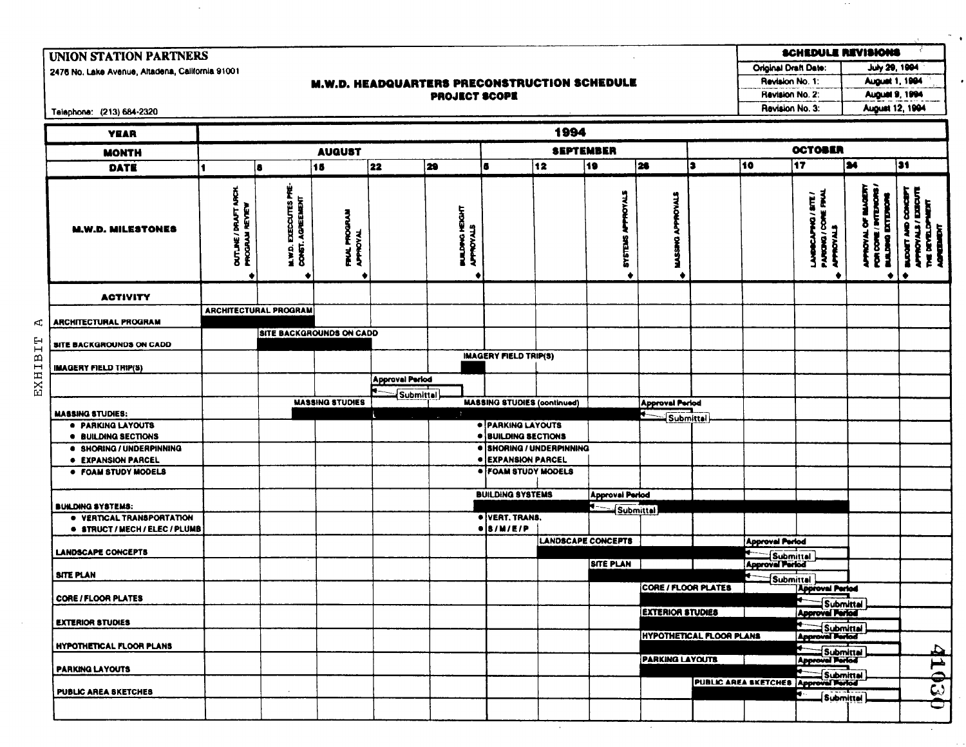# **UNION STATION PARTNERS**

2476 No. Lake Avenue, Altadena, California 91001

### **M.W.D. HEADQUARTERS PRECONSTRUCTION SCHEDULE PROJECT SCOPE**

SCHEDULE REVISIONS Original Draft Date: July 29, 1994 **August 1, 1994** Revision No. 1: Revision No. 2: August 9, 1994

**August 12, 1994** 

Revision No. 3:

 $\sim$   $\sim$ 

 $\bullet$ 

Telephone: (213) 684-2320

 $\mathbb{A}$ 

EXHIBIT

| <b>YEAR</b>                                                                                                       |                                                     |                                           |                                     |                                            |                                    |                                                                              | 1994 |                                               |                          |                                 |                                                                               |                                                        |                                                |                                                                                            |  |
|-------------------------------------------------------------------------------------------------------------------|-----------------------------------------------------|-------------------------------------------|-------------------------------------|--------------------------------------------|------------------------------------|------------------------------------------------------------------------------|------|-----------------------------------------------|--------------------------|---------------------------------|-------------------------------------------------------------------------------|--------------------------------------------------------|------------------------------------------------|--------------------------------------------------------------------------------------------|--|
| <b>MONTH</b>                                                                                                      | <b>SEPTEMBER</b><br><b>AUQUST</b>                   |                                           |                                     |                                            |                                    |                                                                              |      |                                               |                          |                                 | <b>OCTOBER</b>                                                                |                                                        |                                                |                                                                                            |  |
| DATE                                                                                                              |                                                     | l B                                       | 15                                  | 22                                         | 29                                 | 6                                                                            | 12   | 19                                            | $\overline{20}$          | l 3                             | 10                                                                            | $\overline{17}$                                        | $\overline{\mathbf{a}}$                        | $\overline{31}$                                                                            |  |
| <b>M.W.D. MILESTONES</b>                                                                                          | <b>DUTLINE/ DRAFT ARCH</b><br><b>PROGRAM REVIEW</b> | M.W.D. EXECCUTES PRE-<br>CONST. AGREEMENT | Ę<br><b>FINAL PROGR</b><br>APPROVAL |                                            | <b>BULDING HEIGHT</b><br>APPROVALS |                                                                              |      | ğ<br><b>SYSTEMS</b><br>٠                      | APPROVALS<br>DASSAG<br>٠ |                                 |                                                                               | LANDOCAPHO/SITE/<br>PARDIG / CORE FRU<br>APROVALS<br>٠ | <b>CHANG</b> DIVISION<br><b>DANO</b><br>8<br>٠ | <b>DYALE/EDISORT</b><br>Ĭ<br><b>Sex</b><br><b>THE DETAILOR</b><br><b>TOWER</b><br><b>S</b> |  |
| <b>ACTIVITY</b>                                                                                                   |                                                     |                                           |                                     |                                            |                                    |                                                                              |      |                                               |                          |                                 |                                                                               |                                                        |                                                |                                                                                            |  |
| <b>ARCHITECTURAL PROGRAM</b>                                                                                      |                                                     | <b>ARCHITECTURAL PROGRAM</b>              | <b>SITE BACKGROUNDS ON CADD</b>     |                                            |                                    |                                                                              |      |                                               |                          |                                 |                                                                               |                                                        |                                                |                                                                                            |  |
| SITE BACKGROUNDS ON CADD<br><b>IMAGERY FIELD TRIP(S)</b>                                                          |                                                     |                                           |                                     |                                            |                                    | <b>IMAGERY FIELD TRIP(S)</b>                                                 |      |                                               |                          |                                 |                                                                               |                                                        |                                                |                                                                                            |  |
|                                                                                                                   |                                                     |                                           | <b>MASSING STUDIES</b>              | <b>Approval Period</b><br><b>Submittel</b> |                                    | <b>MASSING STUDIES (continued)</b>                                           |      |                                               | <b>Approval Period</b>   |                                 |                                                                               |                                                        |                                                |                                                                                            |  |
| <b>MASSING STUDIES:</b><br><b>• PARKING LAYOUTS</b>                                                               |                                                     |                                           |                                     |                                            | в.                                 | · PARKING LAYOUTS<br>· BUILDING BECTIONS                                     |      |                                               | <b>Submittal</b>         |                                 |                                                                               |                                                        |                                                |                                                                                            |  |
| <b>• BUILDING SECTIONS</b><br>· SHORING / UNDERPINNING<br><b>• EXPANSION PARCEL</b><br><b>• FOAM STUDY MODELS</b> |                                                     |                                           |                                     |                                            |                                    | · SHORING / UNDERPINNING<br><b>• EXPANSION PARCEL</b><br>· FOAM STUDY MODELS |      |                                               |                          |                                 |                                                                               |                                                        |                                                |                                                                                            |  |
| <b>BUILDING SYSTEMS:</b>                                                                                          |                                                     |                                           |                                     |                                            |                                    | <b>BUILDING SYSTEMS</b>                                                      |      | <b>Approval Period</b><br>∙∽                  |                          |                                 |                                                                               |                                                        |                                                |                                                                                            |  |
| · VERTICAL TRANSPORTATION<br><b>· STRUCT / MECH / ELEC / PLUMB</b>                                                |                                                     |                                           |                                     |                                            |                                    | · VERT. TRANS.<br>$\bullet$ $\vert$ s / m/E/P                                |      | Submittal                                     |                          |                                 |                                                                               |                                                        |                                                |                                                                                            |  |
| <b>LANDSCAPE CONCEPTS</b>                                                                                         |                                                     |                                           |                                     |                                            |                                    |                                                                              |      | <b>LANDSCAPE CONCEPTS</b><br><b>SITE PLAN</b> |                          |                                 | <b>Approval Period</b><br><b>Electric Submittal</b><br><b>Approval Period</b> |                                                        |                                                |                                                                                            |  |
| <b>SITE PLAN</b><br><b>CORE / FLOOR PLATES</b>                                                                    |                                                     |                                           |                                     |                                            |                                    |                                                                              |      |                                               | CORE / FLOOR PLATES      |                                 | Submittal                                                                     | <b>Approval Period</b>                                 |                                                |                                                                                            |  |
| <b>EXTERIOR STUDIES</b>                                                                                           |                                                     |                                           |                                     |                                            |                                    |                                                                              |      |                                               | <b>EXTERIOR STUDIES</b>  |                                 |                                                                               | Submittal<br>⊭<br>Submittal                            |                                                |                                                                                            |  |
| <b>HYPOTHETICAL FLOOR PLANS</b>                                                                                   |                                                     |                                           |                                     |                                            |                                    |                                                                              |      |                                               | <b>PARKING LAYOUTS</b>   | <b>HYPOTHETICAL FLOOR PLANS</b> |                                                                               | ►<br>Submittal                                         |                                                |                                                                                            |  |
| <b>PARKING LAYOUTS</b><br><b>PUBLIC AREA SKETCHES</b>                                                             |                                                     |                                           |                                     |                                            |                                    |                                                                              |      |                                               |                          |                                 | PUBLIC AREA SKETCHES Approval Period                                          | <b>Submittel</b>                                       |                                                | 41030                                                                                      |  |
|                                                                                                                   |                                                     |                                           |                                     |                                            |                                    |                                                                              |      |                                               |                          |                                 |                                                                               | <b>Submittel</b>                                       |                                                |                                                                                            |  |